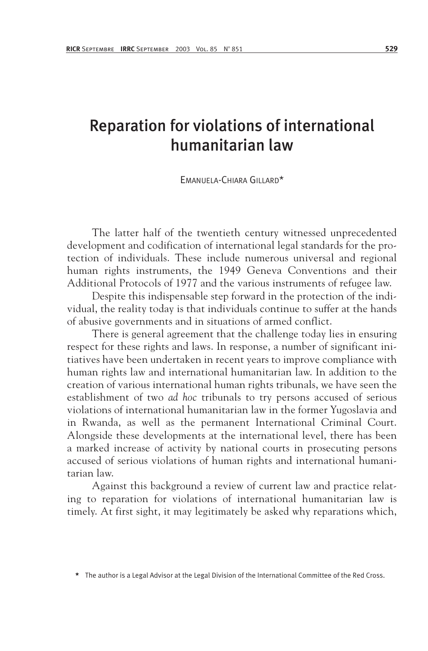# Reparation for violations of international humanitarian law

EMANUELA-CHIARA GILLARD\*

The latter half of the twentieth century witnessed unprecedented development and codification of international legal standards for the protection of individuals. These include numerous universal and regional human rights instruments, the 1949 Geneva Conventions and their Additional Protocols of 1977 and the various instruments of refugee law.

Despite this indispensable step forward in the protection of the individual, the reality today is that individuals continue to suffer at the hands of abusive governments and in situations of armed conflict.

There is general agreement that the challenge today lies in ensuring respect for these rights and laws. In response, a number of significant initiatives have been undertaken in recent years to improve compliance with human rights law and international humanitarian law. In addition to the creation of various international human rights tribunals, we have seen the establishment of two *ad hoc* tribunals to try persons accused of serious violations of international humanitarian law in the former Yugoslavia and in Rwanda, as well as the permanent International Criminal Court. Alongside these developments at the international level, there has been a marked increase of activity by national courts in prosecuting persons accused of serious violations of human rights and international humanitarian law.

Against this background a review of current law and practice relating to reparation for violations of international humanitarian law is timely. At first sight, it may legitimately be asked why reparations which,

The author is a Legal Advisor at the Legal Division of the International Committee of the Red Cross.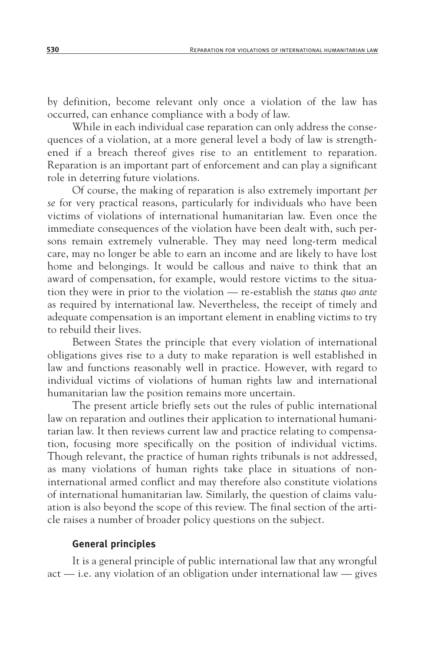by definition, become relevant only once a violation of the law has occurred, can enhance compliance with a body of law.

While in each individual case reparation can only address the consequences of a violation, at a more general level a body of law is strengthened if a breach thereof gives rise to an entitlement to reparation. Reparation is an important part of enforcement and can play a significant role in deterring future violations.

Of course, the making of reparation is also extremely important *per se* for very practical reasons, particularly for individuals who have been victims of violations of international humanitarian law. Even once the immediate consequences of the violation have been dealt with, such persons remain extremely vulnerable. They may need long-term medical care, may no longer be able to earn an income and are likely to have lost home and belongings. It would be callous and naive to think that an award of compensation, for example, would restore victims to the situation they were in prior to the violation — re-establish the *status quo ante* as required by international law. Nevertheless, the receipt of timely and adequate compensation is an important element in enabling victims to try to rebuild their lives.

Between States the principle that every violation of international obligations gives rise to a duty to make reparation is well established in law and functions reasonably well in practice. However, with regard to individual victims of violations of human rights law and international humanitarian law the position remains more uncertain.

The present article briefly sets out the rules of public international law on reparation and outlines their application to international humanitarian law. It then reviews current law and practice relating to compensation, focusing more specifically on the position of individual victims. Though relevant, the practice of human rights tribunals is not addressed, as many violations of human rights take place in situations of noninternational armed conflict and may therefore also constitute violations of international humanitarian law. Similarly, the question of claims valuation is also beyond the scope of this review. The final section of the article raises a number of broader policy questions on the subject.

#### **General principles**

It is a general principle of public international law that any wrongful act — i.e. any violation of an obligation under international law — gives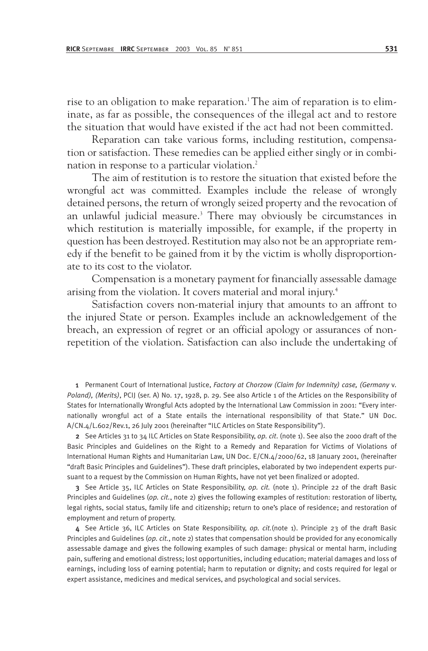rise to an obligation to make reparation.<sup>1</sup> The aim of reparation is to eliminate, as far as possible, the consequences of the illegal act and to restore the situation that would have existed if the act had not been committed.

Reparation can take various forms, including restitution, compensation or satisfaction. These remedies can be applied either singly or in combination in response to a particular violation.<sup>2</sup>

The aim of restitution is to restore the situation that existed before the wrongful act was committed. Examples include the release of wrongly detained persons, the return of wrongly seized property and the revocation of an unlawful judicial measure.<sup>3</sup> There may obviously be circumstances in which restitution is materially impossible, for example, if the property in question has been destroyed. Restitution may also not be an appropriate remedy if the benefit to be gained from it by the victim is wholly disproportionate to its cost to the violator.

Compensation is a monetary payment for financially assessable damage arising from the violation. It covers material and moral injury.4

Satisfaction covers non-material injury that amounts to an affront to the injured State or person. Examples include an acknowledgement of the breach, an expression of regret or an official apology or assurances of nonrepetition of the violation. Satisfaction can also include the undertaking of

1 Permanent Court of International Justice, *Factory at Chorzow (Claim for Indemnity) case, (Germany* v*. Poland), (Merits)*, PCIJ (ser. A) No. 17, 1928, p. 29. See also Article 1 of the Articles on the Responsibility of States for Internationally Wrongful Acts adopted by the International Law Commission in 2001: "Every internationally wrongful act of a State entails the international responsibility of that State." UN Doc. A/CN.4/L.602/Rev.1, 26 July 2001 (hereinafter "ILC Articles on State Responsibility").

2 See Articles 31 to 34 ILC Articles on State Responsibility, *op. cit*. (note 1). See also the 2000 draft of the Basic Principles and Guidelines on the Right to a Remedy and Reparation for Victims of Violations of International Human Rights and Humanitarian Law, UN Doc. E/CN.4/2000/62, 18 January 2001, (hereinafter "draft Basic Principles and Guidelines"). These draft principles, elaborated by two independent experts pursuant to a request by the Commission on Human Rights, have not yet been finalized or adopted.

3 See Article 35, ILC Articles on State Responsibility, *op. cit.* (note 1). Principle 22 of the draft Basic Principles and Guidelines (*op. cit.*, note 2) gives the following examples of restitution: restoration of liberty, legal rights, social status, family life and citizenship; return to one's place of residence; and restoration of employment and return of property.

4 See Article 36, ILC Articles on State Responsibility, *op. cit.*(note 1). Principle 23 of the draft Basic Principles and Guidelines (*op. cit.*, note 2) states that compensation should be provided for any economically assessable damage and gives the following examples of such damage: physical or mental harm, including pain, suffering and emotional distress; lost opportunities, including education; material damages and loss of earnings, including loss of earning potential; harm to reputation or dignity; and costs required for legal or expert assistance, medicines and medical services, and psychological and social services.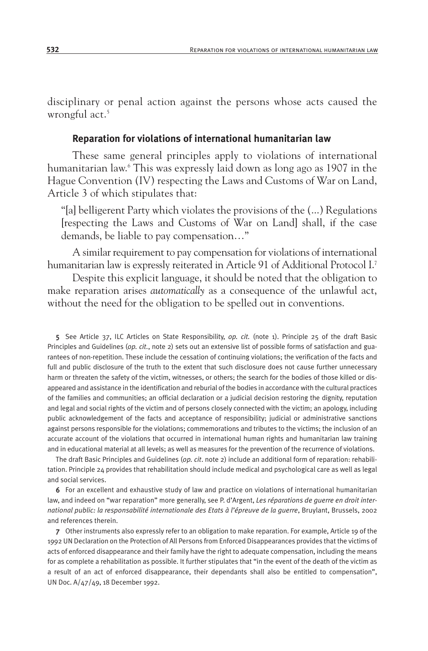disciplinary or penal action against the persons whose acts caused the wrongful act.<sup>5</sup>

#### **Reparation for violations of international humanitarian law**

These same general principles apply to violations of international humanitarian law.6 This was expressly laid down as long ago as 1907 in the Hague Convention (IV) respecting the Laws and Customs of War on Land, Article 3 of which stipulates that:

"[a] belligerent Party which violates the provisions of the (...) Regulations [respecting the Laws and Customs of War on Land] shall, if the case demands, be liable to pay compensation…"

A similar requirement to pay compensation for violations of international humanitarian law is expressly reiterated in Article 91 of Additional Protocol I.7

Despite this explicit language, it should be noted that the obligation to make reparation arises *automatically* as a consequence of the unlawful act, without the need for the obligation to be spelled out in conventions.

5 See Article 37, ILC Articles on State Responsibility, *op. cit.* (note 1). Principle 25 of the draft Basic Principles and Guidelines (*op. cit.*, note 2) sets out an extensive list of possible forms of satisfaction and guarantees of non-repetition. These include the cessation of continuing violations; the verification of the facts and full and public disclosure of the truth to the extent that such disclosure does not cause further unnecessary harm or threaten the safety of the victim, witnesses, or others; the search for the bodies of those killed or disappeared and assistance in the identification and reburial of the bodies in accordance with the cultural practices of the families and communities; an official declaration or a judicial decision restoring the dignity, reputation and legal and social rights of the victim and of persons closely connected with the victim; an apology, including public acknowledgement of the facts and acceptance of responsibility; judicial or administrative sanctions against persons responsible for the violations; commemorations and tributes to the victims; the inclusion of an accurate account of the violations that occurred in international human rights and humanitarian law training and in educational material at all levels; as well as measures for the prevention of the recurrence of violations.

The draft Basic Principles and Guidelines (*op. cit*. note 2) include an additional form of reparation: rehabilitation. Principle 24 provides that rehabilitation should include medical and psychological care as well as legal and social services.

6 For an excellent and exhaustive study of law and practice on violations of international humanitarian law, and indeed on "war reparation" more generally, see P. d'Argent, *Les réparations de guerre en droit international public: la responsabilité internationale des Etats à l'épreuve de la guerre*, Bruylant, Brussels, 2002 and references therein.

7 Other instruments also expressly refer to an obligation to make reparation. For example, Article 19 of the 1992 UN Declaration on the Protection of All Persons from Enforced Disappearances provides that the victims of acts of enforced disappearance and their family have the right to adequate compensation, including the means for as complete a rehabilitation as possible. It further stipulates that "in the event of the death of the victim as a result of an act of enforced disappearance, their dependants shall also be entitled to compensation", UN Doc. A/47/49, 18 December 1992.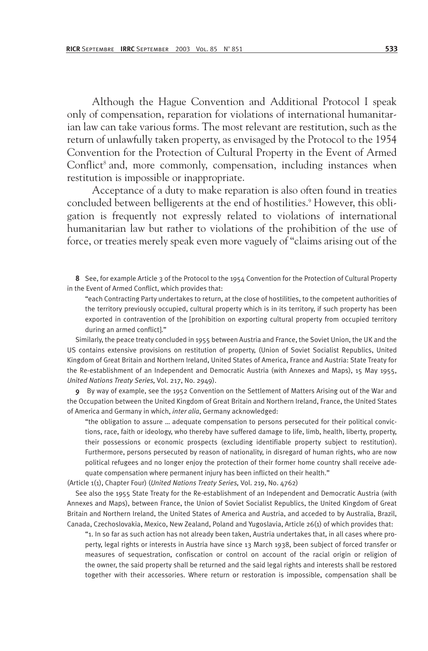Although the Hague Convention and Additional Protocol I speak only of compensation, reparation for violations of international humanitarian law can take various forms. The most relevant are restitution, such as the return of unlawfully taken property, as envisaged by the Protocol to the 1954 Convention for the Protection of Cultural Property in the Event of Armed Conflict<sup>8</sup> and, more commonly, compensation, including instances when restitution is impossible or inappropriate.

Acceptance of a duty to make reparation is also often found in treaties concluded between belligerents at the end of hostilities.<sup>9</sup> However, this obligation is frequently not expressly related to violations of international humanitarian law but rather to violations of the prohibition of the use of force, or treaties merely speak even more vaguely of "claims arising out of the

8 See, for example Article 3 of the Protocol to the 1954 Convention for the Protection of Cultural Property in the Event of Armed Conflict, which provides that:

"each Contracting Party undertakes to return, at the close of hostilities, to the competent authorities of the territory previously occupied, cultural property which is in its territory, if such property has been exported in contravention of the [prohibition on exporting cultural property from occupied territory during an armed conflict]."

Similarly, the peace treaty concluded in 1955 between Austria and France, the Soviet Union, the UK and the US contains extensive provisions on restitution of property, (Union of Soviet Socialist Republics, United Kingdom of Great Britain and Northern Ireland, United States of America, France and Austria: State Treaty for the Re-establishment of an Independent and Democratic Austria (with Annexes and Maps), 15 May 1955, *United Nations Treaty Series,* Vol. 217, No. 2949).

9 By way of example, see the 1952 Convention on the Settlement of Matters Arising out of the War and the Occupation between the United Kingdom of Great Britain and Northern Ireland, France, the United States of America and Germany in which, *inter alia*, Germany acknowledged:

"the obligation to assure … adequate compensation to persons persecuted for their political convictions, race, faith or ideology, who thereby have suffered damage to life, limb, health, liberty, property, their possessions or economic prospects (excluding identifiable property subject to restitution). Furthermore, persons persecuted by reason of nationality, in disregard of human rights, who are now political refugees and no longer enjoy the protection of their former home country shall receive adequate compensation where permanent injury has been inflicted on their health."

(Article 1(1), Chapter Four) (*United Nations Treaty Series,* Vol. 219, No. 4762)

See also the 1955 State Treaty for the Re-establishment of an Independent and Democratic Austria (with Annexes and Maps), between France, the Union of Soviet Socialist Republics, the United Kingdom of Great Britain and Northern Ireland, the United States of America and Austria, and acceded to by Australia, Brazil, Canada, Czechoslovakia, Mexico, New Zealand, Poland and Yugoslavia, Article 26(1) of which provides that:

"1. In so far as such action has not already been taken, Austria undertakes that, in all cases where property, legal rights or interests in Austria have since 13 March 1938, been subject of forced transfer or measures of sequestration, confiscation or control on account of the racial origin or religion of the owner, the said property shall be returned and the said legal rights and interests shall be restored together with their accessories. Where return or restoration is impossible, compensation shall be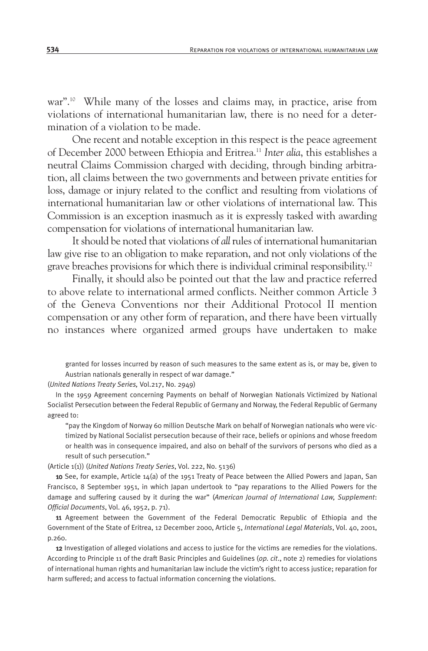war".<sup>10</sup> While many of the losses and claims may, in practice, arise from violations of international humanitarian law, there is no need for a determination of a violation to be made.

One recent and notable exception in this respect is the peace agreement of December 2000 between Ethiopia and Eritrea.11 *Inter alia*, this establishes a neutral Claims Commission charged with deciding, through binding arbitration, all claims between the two governments and between private entities for loss, damage or injury related to the conflict and resulting from violations of international humanitarian law or other violations of international law. This Commission is an exception inasmuch as it is expressly tasked with awarding compensation for violations of international humanitarian law.

It should be noted that violations of *all* rules of international humanitarian law give rise to an obligation to make reparation, and not only violations of the grave breaches provisions for which there is individual criminal responsibility.12

Finally, it should also be pointed out that the law and practice referred to above relate to international armed conflicts. Neither common Article 3 of the Geneva Conventions nor their Additional Protocol II mention compensation or any other form of reparation, and there have been virtually no instances where organized armed groups have undertaken to make

granted for losses incurred by reason of such measures to the same extent as is, or may be, given to Austrian nationals generally in respect of war damage."

(*United Nations Treaty Series,* Vol.217, No. 2949)

In the 1959 Agreement concerning Payments on behalf of Norwegian Nationals Victimized by National Socialist Persecution between the Federal Republic of Germany and Norway, the Federal Republic of Germany agreed to:

"pay the Kingdom of Norway 60 million Deutsche Mark on behalf of Norwegian nationals who were victimized by National Socialist persecution because of their race, beliefs or opinions and whose freedom or health was in consequence impaired, and also on behalf of the survivors of persons who died as a result of such persecution."

(Article 1(1)) (*United Nations Treaty Series*, Vol. 222, No. 5136)

10 See, for example, Article 14(a) of the 1951 Treaty of Peace between the Allied Powers and Japan, San Francisco, 8 September 1951, in which Japan undertook to "pay reparations to the Allied Powers for the damage and suffering caused by it during the war" (*American Journal of International Law, Supplement*: *Official Documents*, Vol. 46, 1952, p. 71).

11 Agreement between the Government of the Federal Democratic Republic of Ethiopia and the Government of the State of Eritrea, 12 December 2000, Article 5, *International Legal Materials*, Vol. 40, 2001, p.260.

12 Investigation of alleged violations and access to justice for the victims are remedies for the violations. According to Principle 11 of the draft Basic Principles and Guidelines (*op. cit*., note 2) remedies for violations of international human rights and humanitarian law include the victim's right to access justice; reparation for harm suffered; and access to factual information concerning the violations.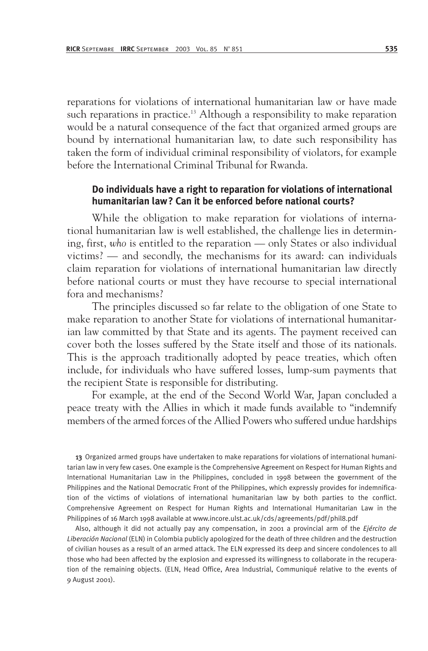reparations for violations of international humanitarian law or have made such reparations in practice.<sup>13</sup> Although a responsibility to make reparation would be a natural consequence of the fact that organized armed groups are bound by international humanitarian law, to date such responsibility has taken the form of individual criminal responsibility of violators, for example before the International Criminal Tribunal for Rwanda.

#### **Do individuals have a right to reparation for violations of international humanitarian law? Can it be enforced before national courts?**

While the obligation to make reparation for violations of international humanitarian law is well established, the challenge lies in determining, first, *who* is entitled to the reparation — only States or also individual victims? — and secondly, the mechanisms for its award: can individuals claim reparation for violations of international humanitarian law directly before national courts or must they have recourse to special international fora and mechanisms?

The principles discussed so far relate to the obligation of one State to make reparation to another State for violations of international humanitarian law committed by that State and its agents. The payment received can cover both the losses suffered by the State itself and those of its nationals. This is the approach traditionally adopted by peace treaties, which often include, for individuals who have suffered losses, lump-sum payments that the recipient State is responsible for distributing.

For example, at the end of the Second World War, Japan concluded a peace treaty with the Allies in which it made funds available to "indemnify members of the armed forces of the Allied Powers who suffered undue hardships

13 Organized armed groups have undertaken to make reparations for violations of international humanitarian law in very few cases. One example is the Comprehensive Agreement on Respect for Human Rights and International Humanitarian Law in the Philippines, concluded in 1998 between the government of the Philippines and the National Democratic Front of the Philippines, which expressly provides for indemnification of the victims of violations of international humanitarian law by both parties to the conflict. Comprehensive Agreement on Respect for Human Rights and International Humanitarian Law in the Philippines of 16 March 1998 available at www.incore.ulst.ac.uk/cds/agreements/pdf/phil8.pdf

Also, although it did not actually pay any compensation, in 2001 a provincial arm of the *Ejército de Liberación Nacional* (ELN) in Colombia publicly apologized for the death of three children and the destruction of civilian houses as a result of an armed attack. The ELN expressed its deep and sincere condolences to all those who had been affected by the explosion and expressed its willingness to collaborate in the recuperation of the remaining objects. (ELN, Head Office, Area Industrial, Communiqué relative to the events of 9 August 2001).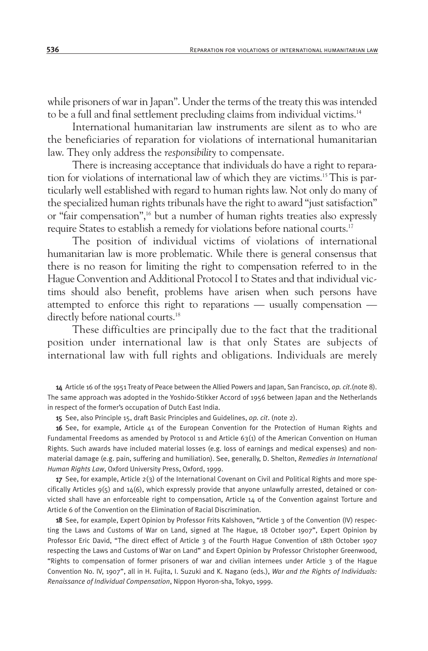while prisoners of war in Japan". Under the terms of the treaty this was intended to be a full and final settlement precluding claims from individual victims.<sup>14</sup>

International humanitarian law instruments are silent as to who are the beneficiaries of reparation for violations of international humanitarian law. They only address the *responsibility* to compensate.

There is increasing acceptance that individuals do have a right to reparation for violations of international law of which they are victims.15 This is particularly well established with regard to human rights law. Not only do many of the specialized human rights tribunals have the right to award "just satisfaction" or "fair compensation",<sup>16</sup> but a number of human rights treaties also expressly require States to establish a remedy for violations before national courts.<sup>17</sup>

The position of individual victims of violations of international humanitarian law is more problematic. While there is general consensus that there is no reason for limiting the right to compensation referred to in the Hague Convention and Additional Protocol I to States and that individual victims should also benefit, problems have arisen when such persons have attempted to enforce this right to reparations — usually compensation directly before national courts.<sup>18</sup>

These difficulties are principally due to the fact that the traditional position under international law is that only States are subjects of international law with full rights and obligations. Individuals are merely

14 Article 16 of the 1951 Treaty of Peace between the Allied Powers and Japan, San Francisco, *op. cit*.(note 8). The same approach was adopted in the Yoshido-Stikker Accord of 1956 between Japan and the Netherlands in respect of the former's occupation of Dutch East India.

15 See, also Principle 15, draft Basic Principles and Guidelines, *op. cit*. (note 2).

16 See, for example, Article 41 of the European Convention for the Protection of Human Rights and Fundamental Freedoms as amended by Protocol 11 and Article 63(1) of the American Convention on Human Rights. Such awards have included material losses (e.g. loss of earnings and medical expenses) and nonmaterial damage (e.g. pain, suffering and humiliation). See, generally, D. Shelton, *Remedies in International Human Rights Law*, Oxford University Press, Oxford, 1999.

17 See, for example, Article  $2(3)$  of the International Covenant on Civil and Political Rights and more specifically Articles 9(5) and 14(6), which expressly provide that anyone unlawfully arrested, detained or convicted shall have an enforceable right to compensation, Article 14 of the Convention against Torture and Article 6 of the Convention on the Elimination of Racial Discrimination.

18 See, for example, Expert Opinion by Professor Frits Kalshoven, "Article 3 of the Convention (IV) respecting the Laws and Customs of War on Land, signed at The Hague, 18 October 1907", Expert Opinion by Professor Eric David, "The direct effect of Article 3 of the Fourth Hague Convention of 18th October 1907 respecting the Laws and Customs of War on Land" and Expert Opinion by Professor Christopher Greenwood, "Rights to compensation of former prisoners of war and civilian internees under Article 3 of the Hague Convention No. IV, 1907", all in H. Fujita, I. Suzuki and K. Nagano (eds.), *War and the Rights of Individuals: Renaissance of Individual Compensation*, Nippon Hyoron-sha, Tokyo, 1999.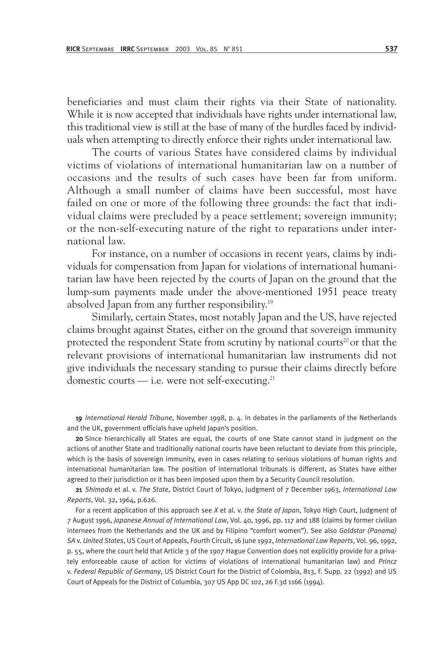beneficiaries and must claim their rights via their State of nationality. While it is now accepted that individuals have rights under international law, this traditional view is still at the base of many of the hurdles faced by individuals when attempting to directly enforce their rights under international law.

The courts of various States have considered claims by individual victims of violations of international humanitarian law on a number of occasions and the results of such cases have been far from uniform. Although a small number of claims have been successful, most have failed on one or more of the following three grounds: the fact that individual claims were precluded by a peace settlement; sovereign immunity; or the non-self-executing nature of the right to reparations under international law.

For instance, on a number of occasions in recent years, claims by individuals for compensation from Japan for violations of international humanitarian law have been rejected by the courts of Japan on the ground that the lump-sum payments made under the above-mentioned 1951 peace treaty absolved Japan from any further responsibility.19

Similarly, certain States, most notably Japan and the US, have rejected claims brought against States, either on the ground that sovereign immunity protected the respondent State from scrutiny by national courts<sup>20</sup> or that the relevant provisions of international humanitarian law instruments did not give individuals the necessary standing to pursue their claims directly before domestic courts  $-$  i.e. were not self-executing.<sup>21</sup>

19 *International Herald Tribune*, November 1998, p. 4. In debates in the parliaments of the Netherlands and the UK, government officials have upheld Japan's position.

20 Since hierarchically all States are equal, the courts of one State cannot stand in judgment on the actions of another State and traditionally national courts have been reluctant to deviate from this principle, which is the basis of sovereign immunity, even in cases relating to serious violations of human rights and international humanitarian law. The position of international tribunals is different, as States have either agreed to their jurisdiction or it has been imposed upon them by a Security Council resolution.

21 *Shimoda* et al. v. *The State*, District Court of Tokyo, Judgment of 7 December 1963, *International Law Reports*, Vol. 32, 1964, p.626.

For a recent application of this approach see *X* et al. v. *the State of Japan*, Tokyo High Court, Judgment of 7 August 1996, *Japanese Annual of International Law*, Vol. 40, 1996, pp. 117 and 188 (claims by former civilian internees from the Netherlands and the UK and by Filipino "comfort women"). See also *Goldstar (Panama) SA* v. *United States*, US Court of Appeals, Fourth Circuit, 16 June 1992, *International Law Reports*, Vol. 96, 1992, p. 55, where the court held that Article 3 of the 1907 Hague Convention does not explicitly provide for a privately enforceable cause of action for victims of violations of international humanitarian law) and *Princz* v. *Federal Republic of Germany*, US District Court for the District of Colombia, 813, F. Supp. 22 (1992) and US Court of Appeals for the District of Columbia, 307 US App DC 102, 26 F.3d 1166 (1994).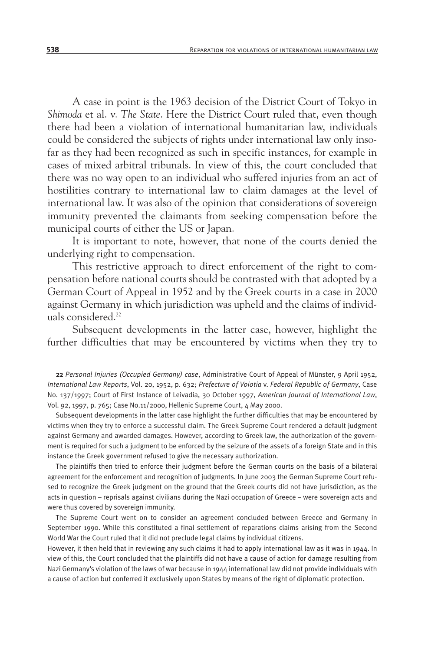A case in point is the 1963 decision of the District Court of Tokyo in *Shimoda* et al. v. *The State*. Here the District Court ruled that, even though there had been a violation of international humanitarian law, individuals could be considered the subjects of rights under international law only insofar as they had been recognized as such in specific instances, for example in cases of mixed arbitral tribunals. In view of this, the court concluded that there was no way open to an individual who suffered injuries from an act of hostilities contrary to international law to claim damages at the level of international law. It was also of the opinion that considerations of sovereign immunity prevented the claimants from seeking compensation before the municipal courts of either the US or Japan.

It is important to note, however, that none of the courts denied the underlying right to compensation.

This restrictive approach to direct enforcement of the right to compensation before national courts should be contrasted with that adopted by a German Court of Appeal in 1952 and by the Greek courts in a case in 2000 against Germany in which jurisdiction was upheld and the claims of individuals considered.<sup>22</sup>

Subsequent developments in the latter case, however, highlight the further difficulties that may be encountered by victims when they try to

22 *Personal Injuries (Occupied Germany) case*, Administrative Court of Appeal of Münster, 9 April 1952, *International Law Reports*, Vol. 20, 1952, p. 632; *Prefecture of Voiotia* v. *Federal Republic of Germany*, Case No. 137/1997; Court of First Instance of Leivadia, 30 October 1997, *American Journal of International Law*, Vol. 92, 1997, p. 765; Case No.11/2000, Hellenic Supreme Court, 4 May 2000.

Subsequent developments in the latter case highlight the further difficulties that may be encountered by victims when they try to enforce a successful claim. The Greek Supreme Court rendered a default judgment against Germany and awarded damages. However, according to Greek law, the authorization of the government is required for such a judgment to be enforced by the seizure of the assets of a foreign State and in this instance the Greek government refused to give the necessary authorization.

The plaintiffs then tried to enforce their judgment before the German courts on the basis of a bilateral agreement for the enforcement and recognition of judgments. In June 2003 the German Supreme Court refused to recognize the Greek judgment on the ground that the Greek courts did not have jurisdiction, as the acts in question – reprisals against civilians during the Nazi occupation of Greece – were sovereign acts and were thus covered by sovereign immunity.

The Supreme Court went on to consider an agreement concluded between Greece and Germany in September 1990. While this constituted a final settlement of reparations claims arising from the Second World War the Court ruled that it did not preclude legal claims by individual citizens.

However, it then held that in reviewing any such claims it had to apply international law as it was in 1944. In view of this, the Court concluded that the plaintiffs did not have a cause of action for damage resulting from Nazi Germany's violation of the laws of war because in 1944 international law did not provide individuals with a cause of action but conferred it exclusively upon States by means of the right of diplomatic protection.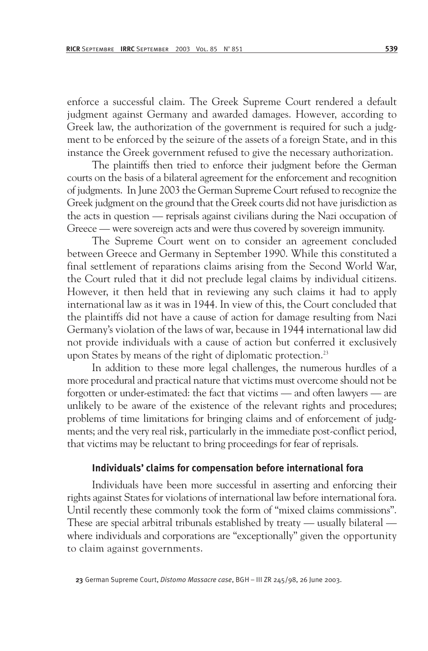enforce a successful claim. The Greek Supreme Court rendered a default judgment against Germany and awarded damages. However, according to Greek law, the authorization of the government is required for such a judgment to be enforced by the seizure of the assets of a foreign State, and in this instance the Greek government refused to give the necessary authorization.

The plaintiffs then tried to enforce their judgment before the German courts on the basis of a bilateral agreement for the enforcement and recognition of judgments. In June 2003 the German Supreme Court refused to recognize the Greek judgment on the ground that the Greek courts did not have jurisdiction as the acts in question — reprisals against civilians during the Nazi occupation of Greece — were sovereign acts and were thus covered by sovereign immunity.

The Supreme Court went on to consider an agreement concluded between Greece and Germany in September 1990. While this constituted a final settlement of reparations claims arising from the Second World War, the Court ruled that it did not preclude legal claims by individual citizens. However, it then held that in reviewing any such claims it had to apply international law as it was in 1944. In view of this, the Court concluded that the plaintiffs did not have a cause of action for damage resulting from Nazi Germany's violation of the laws of war, because in 1944 international law did not provide individuals with a cause of action but conferred it exclusively upon States by means of the right of diplomatic protection.<sup>23</sup>

In addition to these more legal challenges, the numerous hurdles of a more procedural and practical nature that victims must overcome should not be forgotten or under-estimated: the fact that victims — and often lawyers — are unlikely to be aware of the existence of the relevant rights and procedures; problems of time limitations for bringing claims and of enforcement of judgments; and the very real risk, particularly in the immediate post-conflict period, that victims may be reluctant to bring proceedings for fear of reprisals.

## **Individuals' claims for compensation before international fora**

Individuals have been more successful in asserting and enforcing their rights against States for violations of international law before international fora. Until recently these commonly took the form of "mixed claims commissions". These are special arbitral tribunals established by treaty — usually bilateral where individuals and corporations are "exceptionally" given the opportunity to claim against governments.

23 German Supreme Court, *Distomo Massacre case*, BGH – III ZR 245/98, 26 June 2003.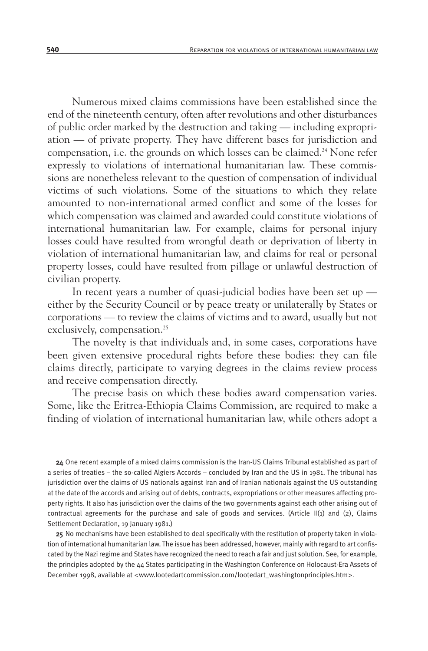Numerous mixed claims commissions have been established since the end of the nineteenth century, often after revolutions and other disturbances of public order marked by the destruction and taking — including expropriation — of private property. They have different bases for jurisdiction and compensation, i.e. the grounds on which losses can be claimed.24 None refer expressly to violations of international humanitarian law. These commissions are nonetheless relevant to the question of compensation of individual victims of such violations. Some of the situations to which they relate amounted to non-international armed conflict and some of the losses for which compensation was claimed and awarded could constitute violations of international humanitarian law. For example, claims for personal injury losses could have resulted from wrongful death or deprivation of liberty in violation of international humanitarian law, and claims for real or personal property losses, could have resulted from pillage or unlawful destruction of civilian property.

In recent years a number of quasi-judicial bodies have been set up either by the Security Council or by peace treaty or unilaterally by States or corporations — to review the claims of victims and to award, usually but not exclusively, compensation.<sup>25</sup>

The novelty is that individuals and, in some cases, corporations have been given extensive procedural rights before these bodies: they can file claims directly, participate to varying degrees in the claims review process and receive compensation directly.

The precise basis on which these bodies award compensation varies. Some, like the Eritrea-Ethiopia Claims Commission, are required to make a finding of violation of international humanitarian law, while others adopt a

24 One recent example of a mixed claims commission is the Iran-US Claims Tribunal established as part of a series of treaties – the so-called Algiers Accords – concluded by Iran and the US in 1981. The tribunal has jurisdiction over the claims of US nationals against Iran and of Iranian nationals against the US outstanding at the date of the accords and arising out of debts, contracts, expropriations or other measures affecting property rights. It also has jurisdiction over the claims of the two governments against each other arising out of contractual agreements for the purchase and sale of goods and services. (Article II(1) and (2), Claims Settlement Declaration, 19 January 1981.)

25 No mechanisms have been established to deal specifically with the restitution of property taken in violation of international humanitarian law. The issue has been addressed, however, mainly with regard to art confiscated by the Nazi regime and States have recognized the need to reach a fair and just solution. See, for example, the principles adopted by the 44 States participating in the Washington Conference on Holocaust-Era Assets of December 1998, available at <www.lootedartcommission.com/lootedart\_washingtonprinciples.htm>.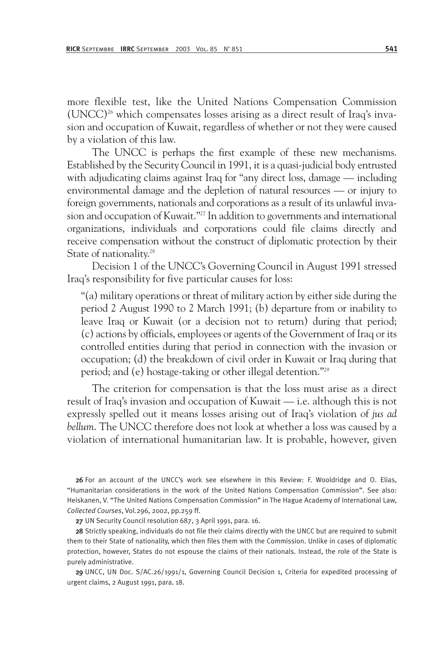more flexible test, like the United Nations Compensation Commission  $(UNCC)^{26}$  which compensates losses arising as a direct result of Iraq's invasion and occupation of Kuwait, regardless of whether or not they were caused by a violation of this law.

The UNCC is perhaps the first example of these new mechanisms. Established by the Security Council in 1991, it is a quasi-judicial body entrusted with adjudicating claims against Iraq for "any direct loss, damage — including environmental damage and the depletion of natural resources — or injury to foreign governments, nationals and corporations as a result of its unlawful invasion and occupation of Kuwait."<sup>27</sup> In addition to governments and international organizations, individuals and corporations could file claims directly and receive compensation without the construct of diplomatic protection by their State of nationality.<sup>28</sup>

Decision 1 of the UNCC's Governing Council in August 1991 stressed Iraq's responsibility for five particular causes for loss:

"(a) military operations or threat of military action by either side during the period 2 August 1990 to 2 March 1991; (b) departure from or inability to leave Iraq or Kuwait (or a decision not to return) during that period; (c) actions by officials, employees or agents of the Government of Iraq or its controlled entities during that period in connection with the invasion or occupation; (d) the breakdown of civil order in Kuwait or Iraq during that period; and (e) hostage-taking or other illegal detention."29

The criterion for compensation is that the loss must arise as a direct result of Iraq's invasion and occupation of Kuwait — i.e. although this is not expressly spelled out it means losses arising out of Iraq's violation of *jus ad bellum*. The UNCC therefore does not look at whether a loss was caused by a violation of international humanitarian law. It is probable, however, given

26 For an account of the UNCC's work see elsewhere in this Review: F. Wooldridge and O. Elias, "Humanitarian considerations in the work of the United Nations Compensation Commission". See also: Heiskanen, V. "The United Nations Compensation Commission" in The Hague Academy of International Law, *Collected Courses*, Vol.296, 2002, pp.259 ff.

27 UN Security Council resolution 687, 3 April 1991, para. 16.

28 Strictly speaking, individuals do not file their claims directly with the UNCC but are required to submit them to their State of nationality, which then files them with the Commission. Unlike in cases of diplomatic protection, however, States do not espouse the claims of their nationals. Instead, the role of the State is purely administrative.

29 UNCC, UN Doc. S/AC.26/1991/1, Governing Council Decision 1, Criteria for expedited processing of urgent claims, 2 August 1991, para. 18.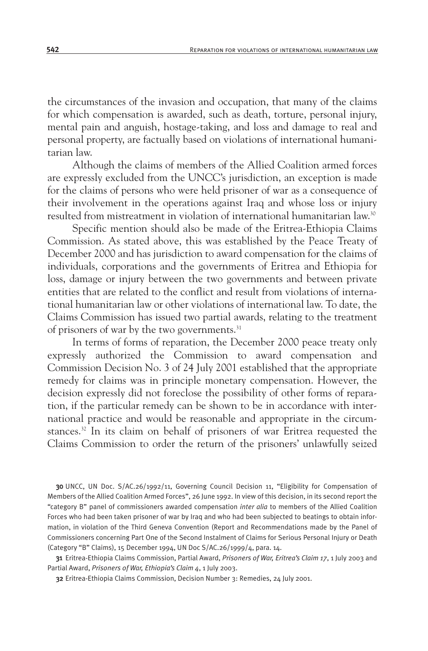the circumstances of the invasion and occupation, that many of the claims for which compensation is awarded, such as death, torture, personal injury, mental pain and anguish, hostage-taking, and loss and damage to real and personal property, are factually based on violations of international humanitarian law.

Although the claims of members of the Allied Coalition armed forces are expressly excluded from the UNCC's jurisdiction, an exception is made for the claims of persons who were held prisoner of war as a consequence of their involvement in the operations against Iraq and whose loss or injury resulted from mistreatment in violation of international humanitarian law.30

Specific mention should also be made of the Eritrea-Ethiopia Claims Commission. As stated above, this was established by the Peace Treaty of December 2000 and has jurisdiction to award compensation for the claims of individuals, corporations and the governments of Eritrea and Ethiopia for loss, damage or injury between the two governments and between private entities that are related to the conflict and result from violations of international humanitarian law or other violations of international law. To date, the Claims Commission has issued two partial awards, relating to the treatment of prisoners of war by the two governments.<sup>31</sup>

In terms of forms of reparation, the December 2000 peace treaty only expressly authorized the Commission to award compensation and Commission Decision No. 3 of 24 July 2001 established that the appropriate remedy for claims was in principle monetary compensation. However, the decision expressly did not foreclose the possibility of other forms of reparation, if the particular remedy can be shown to be in accordance with international practice and would be reasonable and appropriate in the circumstances.32 In its claim on behalf of prisoners of war Eritrea requested the Claims Commission to order the return of the prisoners' unlawfully seized

30 UNCC, UN Doc. S/AC.26/1992/11, Governing Council Decision 11, "Eligibility for Compensation of Members of the Allied Coalition Armed Forces", 26 June 1992. In view of this decision, in its second report the "category B" panel of commissioners awarded compensation *inter alia* to members of the Allied Coalition Forces who had been taken prisoner of war by Iraq and who had been subjected to beatings to obtain information, in violation of the Third Geneva Convention (Report and Recommendations made by the Panel of Commissioners concerning Part One of the Second Instalment of Claims for Serious Personal Injury or Death (Category "B" Claims), 15 December 1994, UN Doc S/AC.26/1999/4, para. 14.

31 Eritrea-Ethiopia Claims Commission, Partial Award, *Prisoners of War, Eritrea's Claim 17*, 1 July 2003 and Partial Award, *Prisoners of War, Ethiopia's Claim 4*, 1 July 2003.

32 Eritrea-Ethiopia Claims Commission, Decision Number 3: Remedies, 24 July 2001.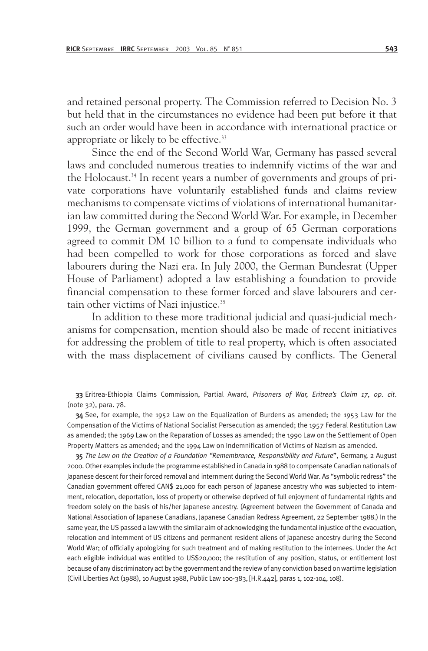and retained personal property. The Commission referred to Decision No. 3 but held that in the circumstances no evidence had been put before it that such an order would have been in accordance with international practice or appropriate or likely to be effective.<sup>33</sup>

Since the end of the Second World War, Germany has passed several laws and concluded numerous treaties to indemnify victims of the war and the Holocaust.<sup>34</sup> In recent years a number of governments and groups of private corporations have voluntarily established funds and claims review mechanisms to compensate victims of violations of international humanitarian law committed during the Second World War. For example, in December 1999, the German government and a group of 65 German corporations agreed to commit DM 10 billion to a fund to compensate individuals who had been compelled to work for those corporations as forced and slave labourers during the Nazi era. In July 2000, the German Bundesrat (Upper House of Parliament) adopted a law establishing a foundation to provide financial compensation to these former forced and slave labourers and certain other victims of Nazi injustice.<sup>35</sup>

In addition to these more traditional judicial and quasi-judicial mechanisms for compensation, mention should also be made of recent initiatives for addressing the problem of title to real property, which is often associated with the mass displacement of civilians caused by conflicts. The General

33 Eritrea-Ethiopia Claims Commission, Partial Award, *Prisoners of War, Eritrea's Claim 17, op. cit*. (note 32), para. 78.

34 See, for example, the 1952 Law on the Equalization of Burdens as amended; the 1953 Law for the Compensation of the Victims of National Socialist Persecution as amended; the 1957 Federal Restitution Law as amended; the 1969 Law on the Reparation of Losses as amended; the 1990 Law on the Settlement of Open Property Matters as amended; and the 1994 Law on Indemnification of Victims of Nazism as amended.

35 *The Law on the Creation of a Foundation "Remembrance, Responsibility and Future*", Germany, 2 August 2000. Other examples include the programme established in Canada in 1988 to compensate Canadian nationals of Japanese descent for their forced removal and internment during the Second World War. As "symbolic redress" the Canadian government offered CAN\$ 21,000 for each person of Japanese ancestry who was subjected to internment, relocation, deportation, loss of property or otherwise deprived of full enjoyment of fundamental rights and freedom solely on the basis of his/her Japanese ancestry. (Agreement between the Government of Canada and National Association of Japanese Canadians, Japanese Canadian Redress Agreement, 22 September 1988.) In the same year, the US passed a law with the similar aim of acknowledging the fundamental injustice of the evacuation, relocation and internment of US citizens and permanent resident aliens of Japanese ancestry during the Second World War; of officially apologizing for such treatment and of making restitution to the internees. Under the Act each eligible individual was entitled to US\$20,000; the restitution of any position, status, or entitlement lost because of any discriminatory act by the government and the review of any conviction based on wartime legislation (Civil Liberties Act (1988), 10 August 1988, Public Law 100-383, [H.R.442], paras 1, 102-104, 108).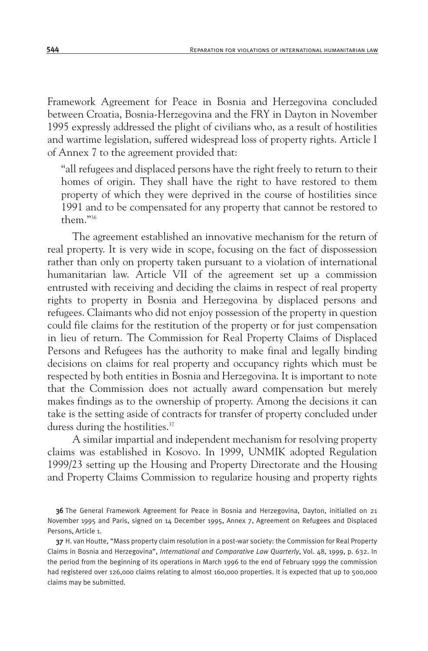Framework Agreement for Peace in Bosnia and Herzegovina concluded between Croatia, Bosnia-Herzegovina and the FRY in Dayton in November 1995 expressly addressed the plight of civilians who, as a result of hostilities and wartime legislation, suffered widespread loss of property rights. Article I of Annex 7 to the agreement provided that:

"all refugees and displaced persons have the right freely to return to their homes of origin. They shall have the right to have restored to them property of which they were deprived in the course of hostilities since 1991 and to be compensated for any property that cannot be restored to them."36

The agreement established an innovative mechanism for the return of real property. It is very wide in scope, focusing on the fact of dispossession rather than only on property taken pursuant to a violation of international humanitarian law. Article VII of the agreement set up a commission entrusted with receiving and deciding the claims in respect of real property rights to property in Bosnia and Herzegovina by displaced persons and refugees. Claimants who did not enjoy possession of the property in question could file claims for the restitution of the property or for just compensation in lieu of return. The Commission for Real Property Claims of Displaced Persons and Refugees has the authority to make final and legally binding decisions on claims for real property and occupancy rights which must be respected by both entities in Bosnia and Herzegovina. It is important to note that the Commission does not actually award compensation but merely makes findings as to the ownership of property. Among the decisions it can take is the setting aside of contracts for transfer of property concluded under duress during the hostilities.<sup>37</sup>

A similar impartial and independent mechanism for resolving property claims was established in Kosovo. In 1999, UNMIK adopted Regulation 1999/23 setting up the Housing and Property Directorate and the Housing and Property Claims Commission to regularize housing and property rights

36 The General Framework Agreement for Peace in Bosnia and Herzegovina, Dayton, initialled on 21 November 1995 and Paris, signed on 14 December 1995, Annex 7, Agreement on Refugees and Displaced Persons, Article 1.

37 H. van Houtte, "Mass property claim resolution in a post-war society: the Commission for Real Property Claims in Bosnia and Herzegovina", *International and Comparative Law Quarterly*, Vol. 48, 1999, p. 632. In the period from the beginning of its operations in March 1996 to the end of February 1999 the commission had registered over 126,000 claims relating to almost 160,000 properties. It is expected that up to 500,000 claims may be submitted.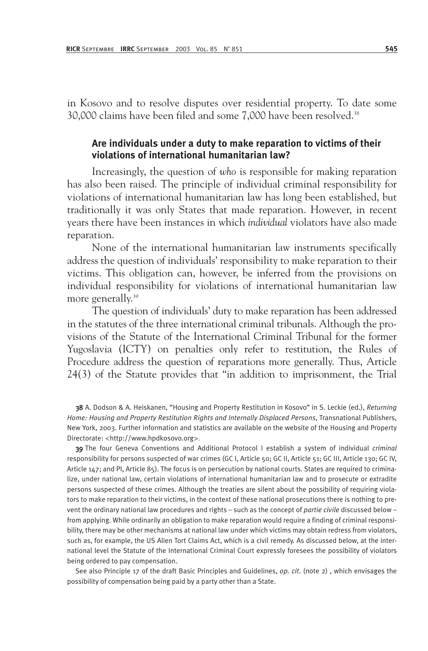in Kosovo and to resolve disputes over residential property. To date some 30,000 claims have been filed and some 7,000 have been resolved.38

## **Are individuals under a duty to make reparation to victims of their violations of international humanitarian law?**

Increasingly, the question of *who* is responsible for making reparation has also been raised. The principle of individual criminal responsibility for violations of international humanitarian law has long been established, but traditionally it was only States that made reparation. However, in recent years there have been instances in which *individual* violators have also made reparation.

None of the international humanitarian law instruments specifically address the question of individuals' responsibility to make reparation to their victims. This obligation can, however, be inferred from the provisions on individual responsibility for violations of international humanitarian law more generally.<sup>39</sup>

The question of individuals' duty to make reparation has been addressed in the statutes of the three international criminal tribunals. Although the provisions of the Statute of the International Criminal Tribunal for the former Yugoslavia (ICTY) on penalties only refer to restitution, the Rules of Procedure address the question of reparations more generally. Thus, Article 24(3) of the Statute provides that "in addition to imprisonment, the Trial

38 A. Dodson & A. Heiskanen, "Housing and Property Restitution in Kosovo" in S. Leckie (ed.), *Returning Home: Housing and Property Restitution Rights and Internally Displaced Persons*, Transnational Publishers, New York, 2003. Further information and statistics are available on the website of the Housing and Property Directorate: <http://www.hpdkosovo.org>.

39 The four Geneva Conventions and Additional Protocol I establish a system of individual *criminal* responsibility for persons suspected of war crimes (GC I, Article 50; GC II, Article 51; GC III, Article 130; GC IV, Article 147; and PI, Article 85). The focus is on persecution by national courts. States are required to criminalize, under national law, certain violations of international humanitarian law and to prosecute or extradite persons suspected of these crimes. Although the treaties are silent about the possibility of requiring violators to make reparation to their victims, in the context of these national prosecutions there is nothing to prevent the ordinary national law procedures and rights – such as the concept of *partie civile* discussed below – from applying. While ordinarily an obligation to make reparation would require a finding of criminal responsibility, there may be other mechanisms at national law under which victims may obtain redress from violators, such as, for example, the US Alien Tort Claims Act, which is a civil remedy. As discussed below, at the international level the Statute of the International Criminal Court expressly foresees the possibility of violators being ordered to pay compensation.

See also Principle 17 of the draft Basic Principles and Guidelines, *op. cit*. (note 2) , which envisages the possibility of compensation being paid by a party other than a State.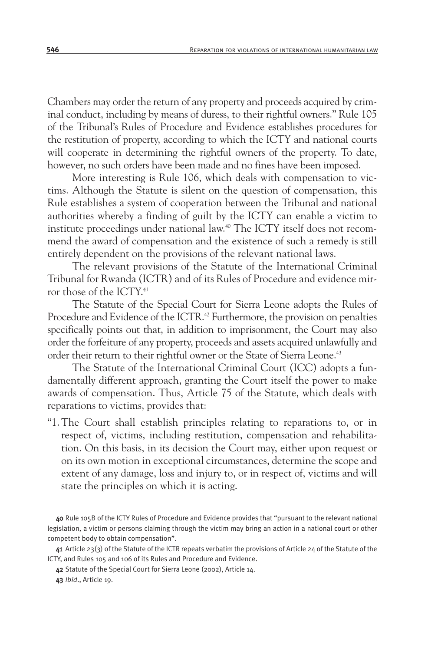Chambers may order the return of any property and proceeds acquired by criminal conduct, including by means of duress, to their rightful owners." Rule 105 of the Tribunal's Rules of Procedure and Evidence establishes procedures for the restitution of property, according to which the ICTY and national courts will cooperate in determining the rightful owners of the property. To date, however, no such orders have been made and no fines have been imposed.

More interesting is Rule 106, which deals with compensation to victims. Although the Statute is silent on the question of compensation, this Rule establishes a system of cooperation between the Tribunal and national authorities whereby a finding of guilt by the ICTY can enable a victim to institute proceedings under national law.40 The ICTY itself does not recommend the award of compensation and the existence of such a remedy is still entirely dependent on the provisions of the relevant national laws.

The relevant provisions of the Statute of the International Criminal Tribunal for Rwanda (ICTR) and of its Rules of Procedure and evidence mirror those of the ICTY.41

The Statute of the Special Court for Sierra Leone adopts the Rules of Procedure and Evidence of the ICTR.<sup>42</sup> Furthermore, the provision on penalties specifically points out that, in addition to imprisonment, the Court may also order the forfeiture of any property, proceeds and assets acquired unlawfully and order their return to their rightful owner or the State of Sierra Leone.<sup>43</sup>

The Statute of the International Criminal Court (ICC) adopts a fundamentally different approach, granting the Court itself the power to make awards of compensation. Thus, Article 75 of the Statute, which deals with reparations to victims, provides that:

"1. The Court shall establish principles relating to reparations to, or in respect of, victims, including restitution, compensation and rehabilitation. On this basis, in its decision the Court may, either upon request or on its own motion in exceptional circumstances, determine the scope and extent of any damage, loss and injury to, or in respect of, victims and will state the principles on which it is acting.

41 Article 23(3) of the Statute of the ICTR repeats verbatim the provisions of Article 24 of the Statute of the ICTY, and Rules 105 and 106 of its Rules and Procedure and Evidence.

42 Statute of the Special Court for Sierra Leone (2002), Article 14.

43 *Ibid*., Article 19.

<sup>40</sup> Rule 105B of the ICTY Rules of Procedure and Evidence provides that "pursuant to the relevant national legislation, a victim or persons claiming through the victim may bring an action in a national court or other competent body to obtain compensation".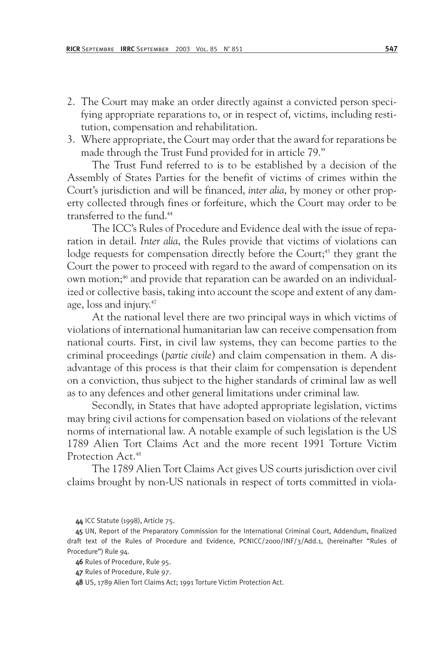- 2. The Court may make an order directly against a convicted person specifying appropriate reparations to, or in respect of, victims, including restitution, compensation and rehabilitation.
- 3. Where appropriate, the Court may order that the award for reparations be made through the Trust Fund provided for in article 79."

The Trust Fund referred to is to be established by a decision of the Assembly of States Parties for the benefit of victims of crimes within the Court's jurisdiction and will be financed, *inter alia*, by money or other property collected through fines or forfeiture, which the Court may order to be transferred to the fund.44

The ICC's Rules of Procedure and Evidence deal with the issue of reparation in detail. *Inter alia*, the Rules provide that victims of violations can lodge requests for compensation directly before the Court;<sup>45</sup> they grant the Court the power to proceed with regard to the award of compensation on its own motion;<sup>46</sup> and provide that reparation can be awarded on an individualized or collective basis, taking into account the scope and extent of any damage, loss and injury.47

At the national level there are two principal ways in which victims of violations of international humanitarian law can receive compensation from national courts. First, in civil law systems, they can become parties to the criminal proceedings (*partie civile*) and claim compensation in them. A disadvantage of this process is that their claim for compensation is dependent on a conviction, thus subject to the higher standards of criminal law as well as to any defences and other general limitations under criminal law.

Secondly, in States that have adopted appropriate legislation, victims may bring civil actions for compensation based on violations of the relevant norms of international law. A notable example of such legislation is the US 1789 Alien Tort Claims Act and the more recent 1991 Torture Victim Protection Act.<sup>48</sup>

The 1789 Alien Tort Claims Act gives US courts jurisdiction over civil claims brought by non-US nationals in respect of torts committed in viola-

<sup>44</sup> ICC Statute (1998), Article 75.

<sup>45</sup> UN, Report of the Preparatory Commission for the International Criminal Court, Addendum, finalized draft text of the Rules of Procedure and Evidence, PCNICC/2000/INF/3/Add.1, (hereinafter "Rules of Procedure") Rule 94.

<sup>46</sup> Rules of Procedure, Rule 95.

<sup>47</sup> Rules of Procedure, Rule 97.

<sup>48</sup> US, 1789 Alien Tort Claims Act; 1991 Torture Victim Protection Act.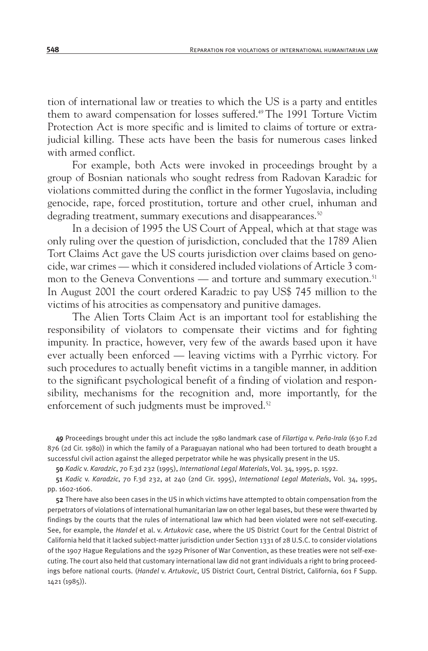tion of international law or treaties to which the US is a party and entitles them to award compensation for losses suffered.<sup>49</sup> The 1991 Torture Victim Protection Act is more specific and is limited to claims of torture or extrajudicial killing. These acts have been the basis for numerous cases linked with armed conflict.

For example, both Acts were invoked in proceedings brought by a group of Bosnian nationals who sought redress from Radovan Karadzic for violations committed during the conflict in the former Yugoslavia, including genocide, rape, forced prostitution, torture and other cruel, inhuman and degrading treatment, summary executions and disappearances.<sup>50</sup>

In a decision of 1995 the US Court of Appeal, which at that stage was only ruling over the question of jurisdiction, concluded that the 1789 Alien Tort Claims Act gave the US courts jurisdiction over claims based on genocide, war crimes — which it considered included violations of Article 3 common to the Geneva Conventions — and torture and summary execution.<sup>51</sup> In August 2001 the court ordered Karadzic to pay US\$ 745 million to the victims of his atrocities as compensatory and punitive damages.

The Alien Torts Claim Act is an important tool for establishing the responsibility of violators to compensate their victims and for fighting impunity. In practice, however, very few of the awards based upon it have ever actually been enforced — leaving victims with a Pyrrhic victory. For such procedures to actually benefit victims in a tangible manner, in addition to the significant psychological benefit of a finding of violation and responsibility, mechanisms for the recognition and, more importantly, for the enforcement of such judgments must be improved.<sup>52</sup>

49 Proceedings brought under this act include the 1980 landmark case of *Filartiga* v. *Peña-Irala* (630 F.2d 876 (2d Cir. 1980)) in which the family of a Paraguayan national who had been tortured to death brought a successful civil action against the alleged perpetrator while he was physically present in the US.

50 *Kadic* v. *Karadzic*, 70 F.3d 232 (1995), *International Legal Materials*, Vol. 34, 1995, p. 1592.

51 *Kadic* v. *Karadzic*, 70 F.3d 232, at 240 (2nd Cir. 1995), *International Legal Materials*, Vol. 34, 1995, pp. 1602-1606.

52 There have also been cases in the US in which victims have attempted to obtain compensation from the perpetrators of violations of international humanitarian law on other legal bases, but these were thwarted by findings by the courts that the rules of international law which had been violated were not self-executing. See, for example, the *Handel* et al. v. *Artukovic* case, where the US District Court for the Central District of California held that it lacked subject-matter jurisdiction under Section 1331 of 28 U.S.C. to consider violations of the 1907 Hague Regulations and the 1929 Prisoner of War Convention, as these treaties were not self-executing. The court also held that customary international law did not grant individuals a right to bring proceedings before national courts. (*Handel* v. *Artukovic*, US District Court, Central District, California, 601 F Supp. 1421 (1985)).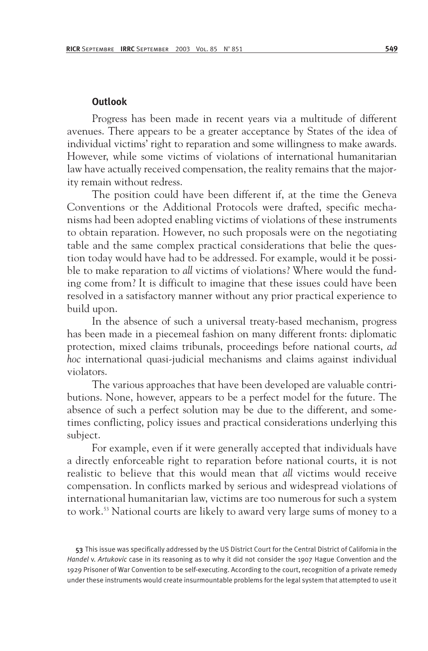#### **Outlook**

Progress has been made in recent years via a multitude of different avenues. There appears to be a greater acceptance by States of the idea of individual victims' right to reparation and some willingness to make awards. However, while some victims of violations of international humanitarian law have actually received compensation, the reality remains that the majority remain without redress.

The position could have been different if, at the time the Geneva Conventions or the Additional Protocols were drafted, specific mechanisms had been adopted enabling victims of violations of these instruments to obtain reparation. However, no such proposals were on the negotiating table and the same complex practical considerations that belie the question today would have had to be addressed. For example, would it be possible to make reparation to *all* victims of violations? Where would the funding come from? It is difficult to imagine that these issues could have been resolved in a satisfactory manner without any prior practical experience to build upon.

In the absence of such a universal treaty-based mechanism, progress has been made in a piecemeal fashion on many different fronts: diplomatic protection, mixed claims tribunals, proceedings before national courts, *ad hoc* international quasi-judicial mechanisms and claims against individual violators.

The various approaches that have been developed are valuable contributions. None, however, appears to be a perfect model for the future. The absence of such a perfect solution may be due to the different, and sometimes conflicting, policy issues and practical considerations underlying this subject.

For example, even if it were generally accepted that individuals have a directly enforceable right to reparation before national courts, it is not realistic to believe that this would mean that *all* victims would receive compensation. In conflicts marked by serious and widespread violations of international humanitarian law, victims are too numerous for such a system to work.53 National courts are likely to award very large sums of money to a

53 This issue was specifically addressed by the US District Court for the Central District of California in the *Handel* v. *Artukovic* case in its reasoning as to why it did not consider the 1907 Hague Convention and the 1929 Prisoner of War Convention to be self-executing. According to the court, recognition of a private remedy under these instruments would create insurmountable problems for the legal system that attempted to use it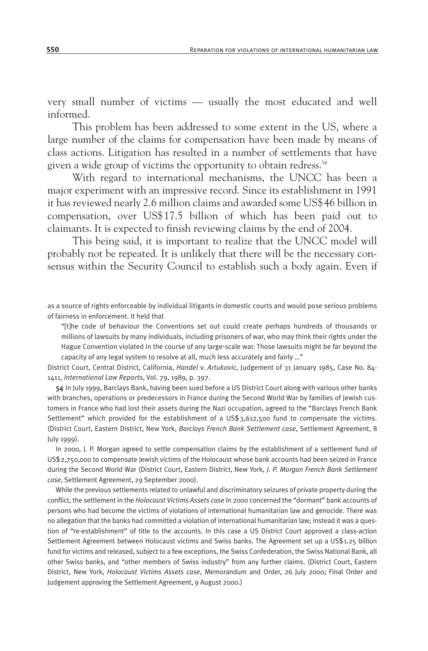very small number of victims — usually the most educated and well informed.

This problem has been addressed to some extent in the US, where a large number of the claims for compensation have been made by means of class actions. Litigation has resulted in a number of settlements that have given a wide group of victims the opportunity to obtain redress.<sup>54</sup>

With regard to international mechanisms, the UNCC has been a major experiment with an impressive record. Since its establishment in 1991 it has reviewed nearly 2.6 million claims and awarded some US\$46 billion in compensation, over US\$17.5 billion of which has been paid out to claimants. It is expected to finish reviewing claims by the end of 2004.

This being said, it is important to realize that the UNCC model will probably not be repeated. It is unlikely that there will be the necessary consensus within the Security Council to establish such a body again. Even if

as a source of rights enforceable by individual litigants in domestic courts and would pose serious problems of fairness in enforcement. It held that

"[t]he code of behaviour the Conventions set out could create perhaps hundreds of thousands or millions of lawsuits by many individuals, including prisoners of war, who may think their rights under the Hague Convention violated in the course of any large-scale war. Those lawsuits might be far beyond the capacity of any legal system to resolve at all, much less accurately and fairly …"

District Court, Central District, California, *Handel* v. *Artukovic*, Judgement of 31 January 1985, Case No. 84- 1411, *International Law Reports*, Vol. 79, 1989, p. 397.

54 In July 1999, Barclays Bank, having been sued before a US District Court along with various other banks with branches, operations or predecessors in France during the Second World War by families of Jewish customers in France who had lost their assets during the Nazi occupation, agreed to the "Barclays French Bank Settlement" which provided for the establishment of a US\$3,612,500 fund to compensate the victims. (District Court, Eastern District, New York, *Barclays French Bank Settlement case*, Settlement Agreement, 8 July 1999).

In 2000, J. P. Morgan agreed to settle compensation claims by the establishment of a settlement fund of US\$2,750,000 to compensate Jewish victims of the Holocaust whose bank accounts had been seized in France during the Second World War (District Court, Eastern District, New York, *J. P. Morgan French Bank Settlement case*, Settlement Agreement, 29 September 2000).

While the previous settlements related to unlawful and discriminatory seizures of private property during the conflict, the settlement in the *Holocaust Victims Assets case* in 2000 concerned the "dormant" bank accounts of persons who had become the victims of violations of international humanitarian law and genocide. There was no allegation that the banks had committed a violation of international humanitarian law; instead it was a question of "re-establishment" of title to the accounts. In this case a US District Court approved a class-action Settlement Agreement between Holocaust victims and Swiss banks. The Agreement set up a US\$1.25 billion fund for victims and released, subject to a few exceptions, the Swiss Confederation, the Swiss National Bank, all other Swiss banks, and "other members of Swiss industry" from any further claims. (District Court, Eastern District, New York, *Holocaust Victims Assets case*, Memorandum and Order, 26 July 2000; Final Order and Judgement approving the Settlement Agreement, 9 August 2000.)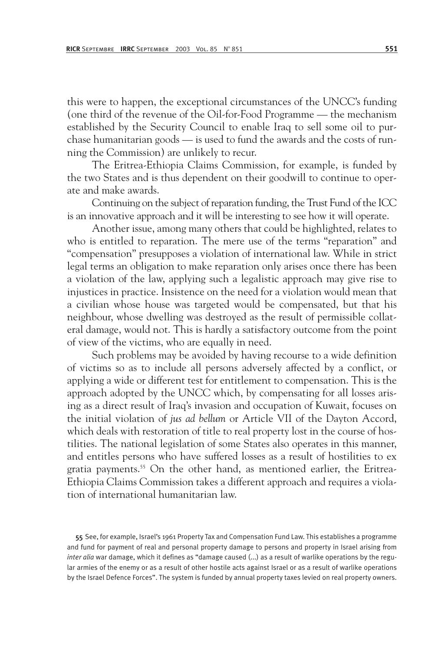this were to happen, the exceptional circumstances of the UNCC's funding (one third of the revenue of the Oil-for-Food Programme — the mechanism established by the Security Council to enable Iraq to sell some oil to purchase humanitarian goods — is used to fund the awards and the costs of running the Commission) are unlikely to recur.

The Eritrea-Ethiopia Claims Commission, for example, is funded by the two States and is thus dependent on their goodwill to continue to operate and make awards.

Continuing on the subject of reparation funding, the Trust Fund of the ICC is an innovative approach and it will be interesting to see how it will operate.

Another issue, among many others that could be highlighted, relates to who is entitled to reparation. The mere use of the terms "reparation" and "compensation" presupposes a violation of international law. While in strict legal terms an obligation to make reparation only arises once there has been a violation of the law, applying such a legalistic approach may give rise to injustices in practice. Insistence on the need for a violation would mean that a civilian whose house was targeted would be compensated, but that his neighbour, whose dwelling was destroyed as the result of permissible collateral damage, would not. This is hardly a satisfactory outcome from the point of view of the victims, who are equally in need.

Such problems may be avoided by having recourse to a wide definition of victims so as to include all persons adversely affected by a conflict, or applying a wide or different test for entitlement to compensation. This is the approach adopted by the UNCC which, by compensating for all losses arising as a direct result of Iraq's invasion and occupation of Kuwait, focuses on the initial violation of *jus ad bellum* or Article VII of the Dayton Accord, which deals with restoration of title to real property lost in the course of hostilities. The national legislation of some States also operates in this manner, and entitles persons who have suffered losses as a result of hostilities to ex gratia payments.<sup>55</sup> On the other hand, as mentioned earlier, the Eritrea-Ethiopia Claims Commission takes a different approach and requires a violation of international humanitarian law.

55 See, for example, Israel's 1961 Property Tax and Compensation Fund Law. This establishes a programme and fund for payment of real and personal property damage to persons and property in Israel arising from *inter alia* war damage, which it defines as "damage caused (...) as a result of warlike operations by the regular armies of the enemy or as a result of other hostile acts against Israel or as a result of warlike operations by the Israel Defence Forces". The system is funded by annual property taxes levied on real property owners.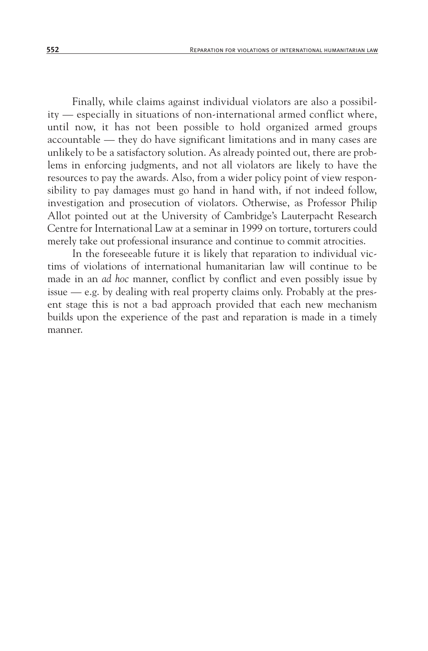Finally, while claims against individual violators are also a possibility — especially in situations of non-international armed conflict where, until now, it has not been possible to hold organized armed groups accountable — they do have significant limitations and in many cases are unlikely to be a satisfactory solution. As already pointed out, there are problems in enforcing judgments, and not all violators are likely to have the resources to pay the awards. Also, from a wider policy point of view responsibility to pay damages must go hand in hand with, if not indeed follow, investigation and prosecution of violators. Otherwise, as Professor Philip Allot pointed out at the University of Cambridge's Lauterpacht Research Centre for International Law at a seminar in 1999 on torture, torturers could merely take out professional insurance and continue to commit atrocities.

In the foreseeable future it is likely that reparation to individual victims of violations of international humanitarian law will continue to be made in an *ad hoc* manner, conflict by conflict and even possibly issue by issue — e.g. by dealing with real property claims only. Probably at the present stage this is not a bad approach provided that each new mechanism builds upon the experience of the past and reparation is made in a timely manner.